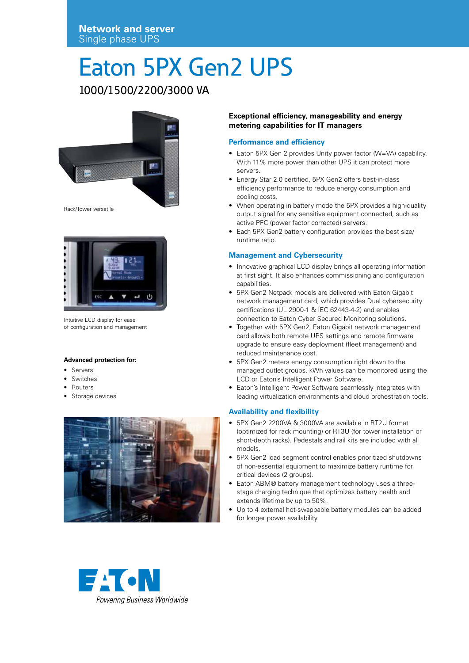# Eaton 5PX Gen2 UPS

1000/1500/2200/3000 VA





Intuitive LCD display for ease of configuration and management

#### **Advanced protection for:**

- Servers
- Switches
- Routers
- Storage devices



#### **Exceptional efficiency, manageability and energy metering capabilities for IT managers**

#### **Performance and efficiency**

- Eaton 5PX Gen 2 provides Unity power factor (W=VA) capability. With 11% more power than other UPS it can protect more servers.
- Energy Star 2.0 certified, 5PX Gen2 offers best-in-class efficiency performance to reduce energy consumption and cooling costs.
- When operating in battery mode the 5PX provides a high-quality output signal for any sensitive equipment connected, such as active PFC (power factor corrected) servers.
- Each 5PX Gen2 battery configuration provides the best size/ runtime ratio.

#### **Management and Cybersecurity**

- Innovative graphical LCD display brings all operating information at first sight. It also enhances commissioning and configuration **capabilities**
- 5PX Gen2 Netpack models are delivered with Eaton Gigabit network management card, which provides Dual cybersecurity certifications (UL 2900-1 & IEC 62443-4-2) and enables connection to Eaton Cyber Secured Monitoring solutions.
- Together with 5PX Gen2, Eaton Gigabit network management card allows both remote UPS settings and remote firmware upgrade to ensure easy deployment (fleet management) and reduced maintenance cost.
- 5PX Gen2 meters energy consumption right down to the managed outlet groups. kWh values can be monitored using the LCD or Eaton's Intelligent Power Software.
- Eaton's Intelligent Power Software seamlessly integrates with leading virtualization environments and cloud orchestration tools.

### **Availability and flexibility**

- 5PX Gen2 2200VA & 3000VA are available in RT2U format (optimized for rack mounting) or RT3U (for tower installation or short-depth racks). Pedestals and rail kits are included with all models.
- 5PX Gen2 load segment control enables prioritized shutdowns of non-essential equipment to maximize battery runtime for critical devices (2 groups).
- Eaton ABM® battery management technology uses a threestage charging technique that optimizes battery health and extends lifetime by up to 50%.
- Up to 4 external hot-swappable battery modules can be added for longer power availability.